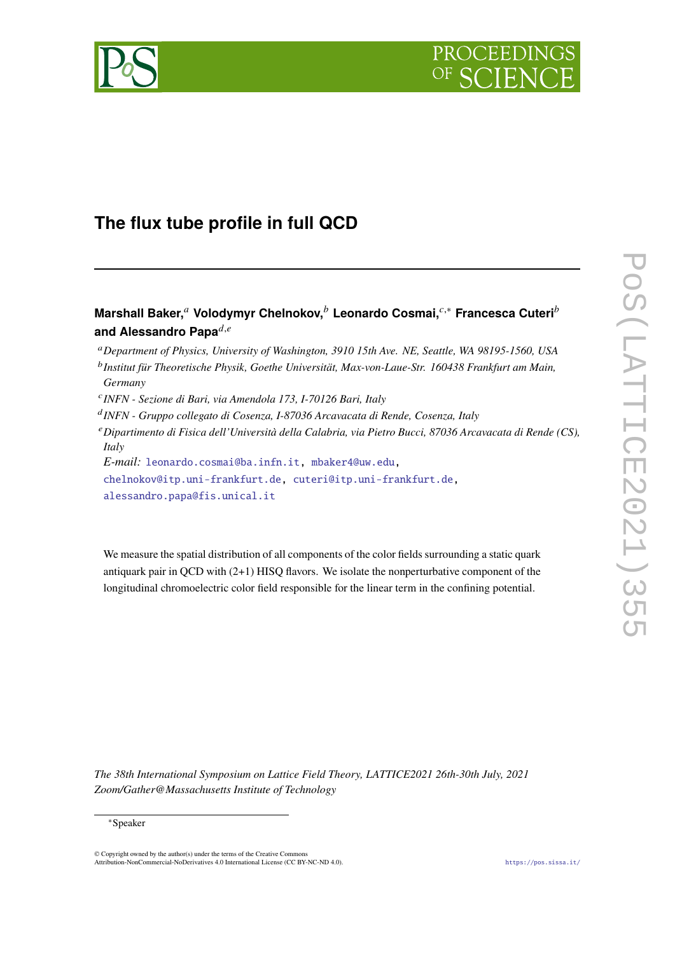



# **The flux tube profile in full QCD**

**Marshall Baker,<sup>a</sup> Volodymyr Chelnokov,<sup>b</sup> Leonardo Cosmai,<sup>** $c,∗$ **</sup> Francesca Cuteri<sup>b</sup>** and Alessandro Papa $d,e$ 

<sup>𝑎</sup>*Department of Physics, University of Washington, 3910 15th Ave. NE, Seattle, WA 98195-1560, USA* <sup>b</sup> Institut für Theoretische Physik, Goethe Universität, Max-von-Laue-Str. 160438 Frankfurt am Main, *Germany*

𝑐 *INFN - Sezione di Bari, via Amendola 173, I-70126 Bari, Italy*

𝑑 *INFN - Gruppo collegato di Cosenza, I-87036 Arcavacata di Rende, Cosenza, Italy*

<sup>𝑒</sup>*Dipartimento di Fisica dell'Università della Calabria, via Pietro Bucci, 87036 Arcavacata di Rende (CS), Italy*

*E-mail:* [leonardo.cosmai@ba.infn.it,](mailto:leonardo.cosmai@ba.infn.it) [mbaker4@uw.edu,](mailto: mbaker4@uw.edu)

[chelnokov@itp.uni-frankfurt.de,](mailto:chelnokov@itp.uni-frankfurt.de) [cuteri@itp.uni-frankfurt.de,](mailto:cuteri@itp.uni-frankfurt.de) [alessandro.papa@fis.unical.it](mailto:alessandro.papa@fis.unical.it)

We measure the spatial distribution of all components of the color fields surrounding a static quark antiquark pair in QCD with (2+1) HISQ flavors. We isolate the nonperturbative component of the longitudinal chromoelectric color field responsible for the linear term in the confining potential.

*The 38th International Symposium on Lattice Field Theory, LATTICE2021 26th-30th July, 2021 Zoom/Gather@Massachusetts Institute of Technology*

© Copyright owned by the author(s) under the terms of the Creative Commons Attribution-NonCommercial-NoDerivatives 4.0 International License (CC BY-NC-ND 4.0). <https://pos.sissa.it/>

<sup>∗</sup>Speaker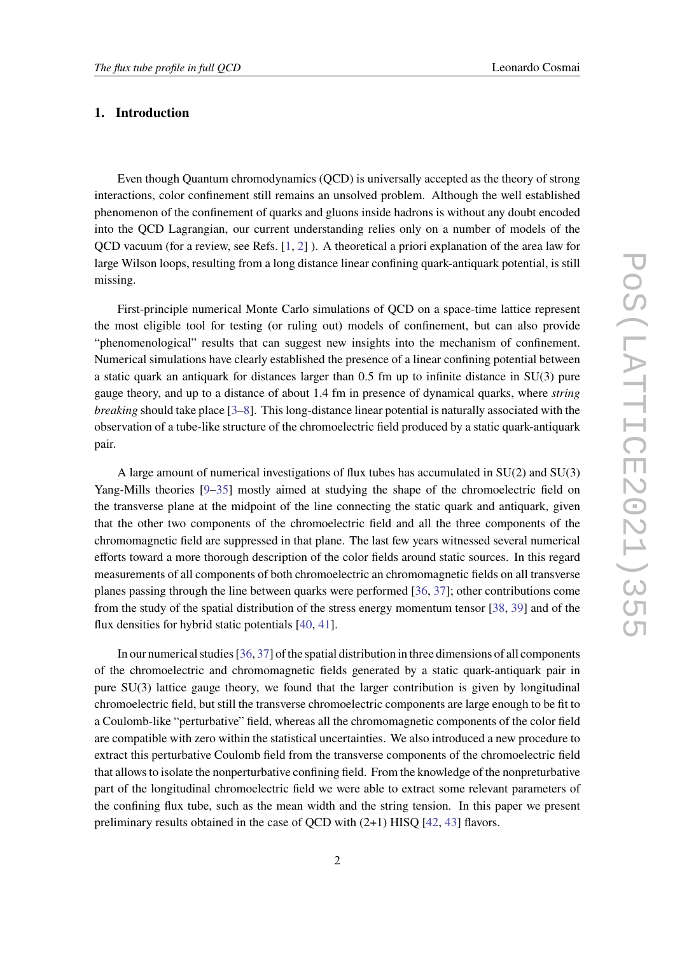### **1. Introduction**

Even though Quantum chromodynamics (QCD) is universally accepted as the theory of strong interactions, color confinement still remains an unsolved problem. Although the well established phenomenon of the confinement of quarks and gluons inside hadrons is without any doubt encoded into the QCD Lagrangian, our current understanding relies only on a number of models of the QCD vacuum (for a review, see Refs. [\[1,](#page-6-0) [2\]](#page-6-1) ). A theoretical a priori explanation of the area law for large Wilson loops, resulting from a long distance linear confining quark-antiquark potential, is still missing.

First-principle numerical Monte Carlo simulations of QCD on a space-time lattice represent the most eligible tool for testing (or ruling out) models of confinement, but can also provide "phenomenological" results that can suggest new insights into the mechanism of confinement. Numerical simulations have clearly established the presence of a linear confining potential between a static quark an antiquark for distances larger than 0.5 fm up to infinite distance in SU(3) pure gauge theory, and up to a distance of about 1.4 fm in presence of dynamical quarks, where *string breaking* should take place [\[3](#page-6-2)[–8\]](#page-6-3). This long-distance linear potential is naturally associated with the observation of a tube-like structure of the chromoelectric field produced by a static quark-antiquark pair.

A large amount of numerical investigations of flux tubes has accumulated in SU(2) and SU(3) Yang-Mills theories [\[9](#page-6-4)[–35\]](#page-8-0) mostly aimed at studying the shape of the chromoelectric field on the transverse plane at the midpoint of the line connecting the static quark and antiquark, given that the other two components of the chromoelectric field and all the three components of the chromomagnetic field are suppressed in that plane. The last few years witnessed several numerical efforts toward a more thorough description of the color fields around static sources. In this regard measurements of all components of both chromoelectric an chromomagnetic fields on all transverse planes passing through the line between quarks were performed [\[36,](#page-8-1) [37\]](#page-8-2); other contributions come from the study of the spatial distribution of the stress energy momentum tensor [\[38,](#page-8-3) [39\]](#page-8-4) and of the flux densities for hybrid static potentials [\[40,](#page-8-5) [41\]](#page-8-6).

In our numerical studies [\[36,](#page-8-1) [37\]](#page-8-2) of the spatial distribution in three dimensions of all components of the chromoelectric and chromomagnetic fields generated by a static quark-antiquark pair in pure SU(3) lattice gauge theory, we found that the larger contribution is given by longitudinal chromoelectric field, but still the transverse chromoelectric components are large enough to be fit to a Coulomb-like "perturbative" field, whereas all the chromomagnetic components of the color field are compatible with zero within the statistical uncertainties. We also introduced a new procedure to extract this perturbative Coulomb field from the transverse components of the chromoelectric field that allows to isolate the nonperturbative confining field. From the knowledge of the nonpreturbative part of the longitudinal chromoelectric field we were able to extract some relevant parameters of the confining flux tube, such as the mean width and the string tension. In this paper we present preliminary results obtained in the case of QCD with (2+1) HISQ [\[42,](#page-8-7) [43\]](#page-8-8) flavors.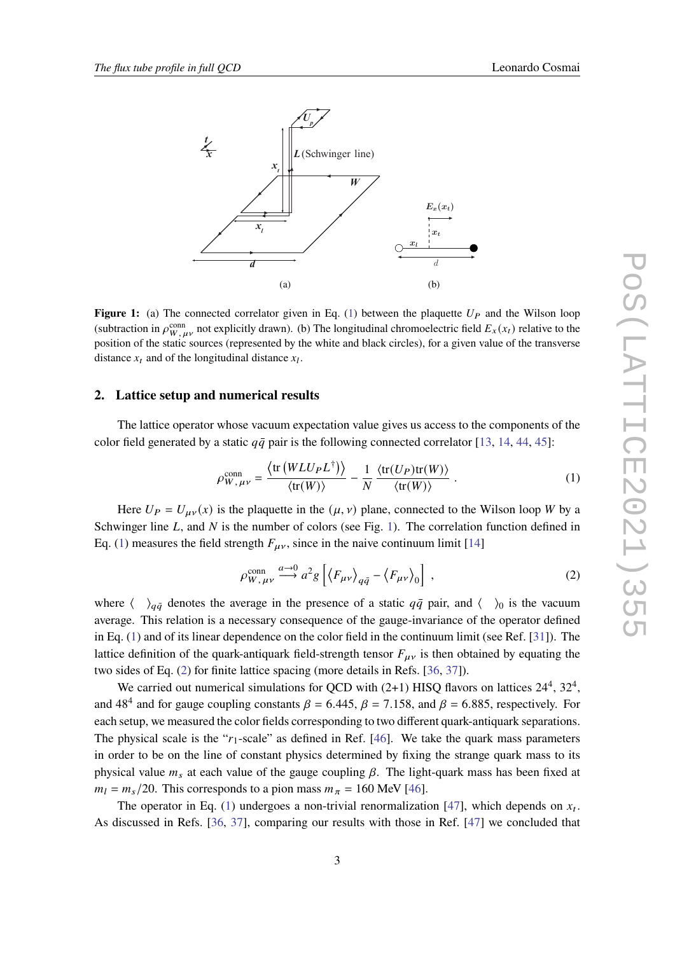<span id="page-2-1"></span>

**Figure 1:** (a) The connected correlator given in Eq. [\(1\)](#page-2-0) between the plaquette  $U_P$  and the Wilson loop (subtraction in  $\rho_{W,\mu\nu}^{\text{conn}}$  not explicitly drawn). (b) The longitudinal chromoelectric field  $E_x(x_t)$  relative to the position of the static sources (represented by the white and black circles), for a given value of the transverse distance  $x_t$  and of the longitudinal distance  $x_l$ .

### **2. Lattice setup and numerical results**

The lattice operator whose vacuum expectation value gives us access to the components of the color field generated by a static  $q\bar{q}$  pair is the following connected correlator [\[13,](#page-6-5) [14,](#page-6-6) [44,](#page-8-9) [45\]](#page-8-10):

<span id="page-2-0"></span>
$$
\rho_{W,\,\mu\nu}^{\text{conn}} = \frac{\langle \text{tr}\left(WLU_{P}L^{\dagger}\right) \rangle}{\langle \text{tr}(W) \rangle} - \frac{1}{N} \frac{\langle \text{tr}(U_{P})\text{tr}(W) \rangle}{\langle \text{tr}(W) \rangle} \ . \tag{1}
$$

Here  $U_P = U_{\mu\nu}(x)$  is the plaquette in the  $(\mu, \nu)$  plane, connected to the Wilson loop W by a Schwinger line  $L$ , and  $N$  is the number of colors (see Fig. [1\)](#page-2-1). The correlation function defined in Eq. [\(1\)](#page-2-0) measures the field strength  $F_{\mu\nu}$ , since in the naive continuum limit [\[14\]](#page-6-6)

<span id="page-2-2"></span>
$$
\rho_{W,\,\mu\nu}^{\text{conn}} \xrightarrow{a \to 0} a^2 g \left[ \left\langle F_{\mu\nu} \right\rangle_{q\bar{q}} - \left\langle F_{\mu\nu} \right\rangle_0 \right] \,, \tag{2}
$$

where  $\langle \rangle_{q\bar{q}}$  denotes the average in the presence of a static  $q\bar{q}$  pair, and  $\langle \rangle_0$  is the vacuum average. This relation is a necessary consequence of the gauge-invariance of the operator defined in Eq. [\(1\)](#page-2-0) and of its linear dependence on the color field in the continuum limit (see Ref. [\[31\]](#page-7-0)). The lattice definition of the quark-antiquark field-strength tensor  $F_{\mu\nu}$  is then obtained by equating the two sides of Eq. [\(2\)](#page-2-2) for finite lattice spacing (more details in Refs. [\[36,](#page-8-1) [37\]](#page-8-2)).

We carried out numerical simulations for OCD with  $(2+1)$  HISO flavors on lattices  $24^4$ ,  $32^4$ . and 48<sup>4</sup> and for gauge coupling constants  $\beta = 6.445$ ,  $\beta = 7.158$ , and  $\beta = 6.885$ , respectively. For each setup, we measured the color fields corresponding to two different quark-antiquark separations. The physical scale is the " $r_1$ -scale" as defined in Ref. [\[46\]](#page-8-11). We take the quark mass parameters in order to be on the line of constant physics determined by fixing the strange quark mass to its physical value  $m_s$  at each value of the gauge coupling  $\beta$ . The light-quark mass has been fixed at  $m_l = m_s/20$ . This corresponds to a pion mass  $m_{\pi} = 160$  MeV [\[46\]](#page-8-11).

The operator in Eq. [\(1\)](#page-2-0) undergoes a non-trivial renormalization [\[47\]](#page-8-12), which depends on  $x_t$ . As discussed in Refs. [\[36,](#page-8-1) [37\]](#page-8-2), comparing our results with those in Ref. [\[47\]](#page-8-12) we concluded that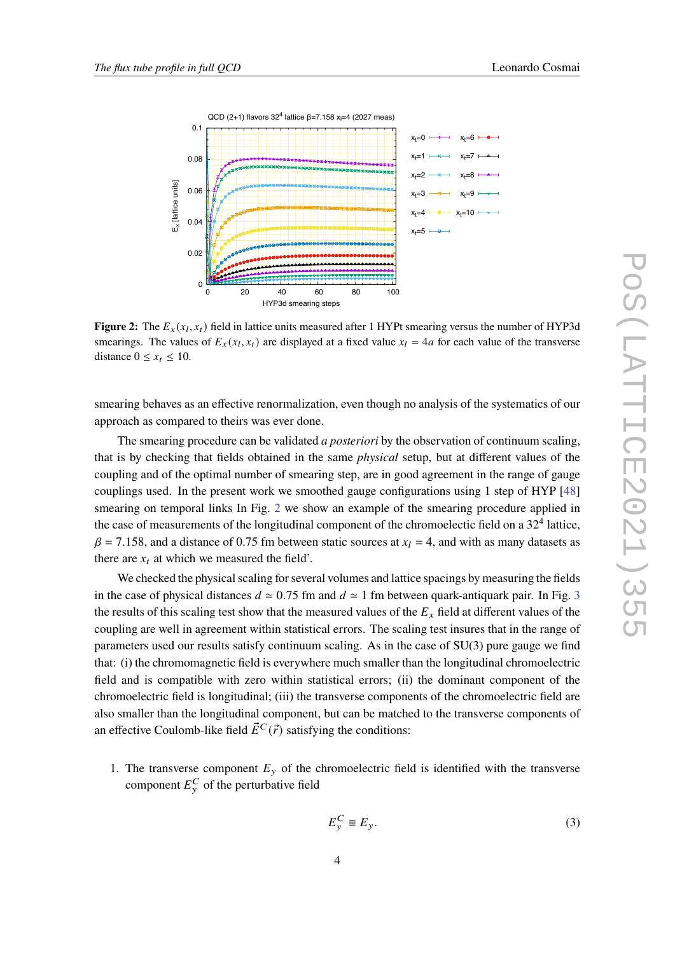<span id="page-3-0"></span>

**Figure 2:** The  $E_x(x_l, x_t)$  field in lattice units measured after 1 HYPt smearing versus the number of HYP3d smearings. The values of  $E_x(x_l, x_l)$  are displayed at a fixed value  $x_l = 4a$  for each value of the transverse distance  $0 \leq x_t \leq 10$ .

smearing behaves as an effective renormalization, even though no analysis of the systematics of our approach as compared to theirs was ever done.

The smearing procedure can be validated *a posteriori* by the observation of continuum scaling, that is by checking that fields obtained in the same *physical* setup, but at different values of the coupling and of the optimal number of smearing step, are in good agreement in the range of gauge couplings used. In the present work we smoothed gauge configurations using 1 step of HYP [\[48\]](#page-8-13) smearing on temporal links In Fig. [2](#page-3-0) we show an example of the smearing procedure applied in the case of measurements of the longitudinal component of the chromoelectic field on a  $32<sup>4</sup>$  lattice.  $\beta$  = 7.158, and a distance of 0.75 fm between static sources at  $x_l$  = 4, and with as many datasets as there are  $x_t$  at which we measured the field'.

We checked the physical scaling for several volumes and lattice spacings by measuring the fields in the case of physical distances  $d \approx 0.75$  fm and  $d \approx 1$  fm between quark-antiquark pair. In Fig. [3](#page-4-0) the results of this scaling test show that the measured values of the  $E<sub>x</sub>$  field at different values of the coupling are well in agreement within statistical errors. The scaling test insures that in the range of parameters used our results satisfy continuum scaling. As in the case of SU(3) pure gauge we find that: (i) the chromomagnetic field is everywhere much smaller than the longitudinal chromoelectric field and is compatible with zero within statistical errors; (ii) the dominant component of the chromoelectric field is longitudinal; (iii) the transverse components of the chromoelectric field are also smaller than the longitudinal component, but can be matched to the transverse components of an effective Coulomb-like field  $\vec{E}^C(\vec{r})$  satisfying the conditions:

1. The transverse component  $E_y$  of the chromoelectric field is identified with the transverse component  $E_{v}^{C}$  of the perturbative field

$$
E_{y}^{C} \equiv E_{y}.
$$
 (3)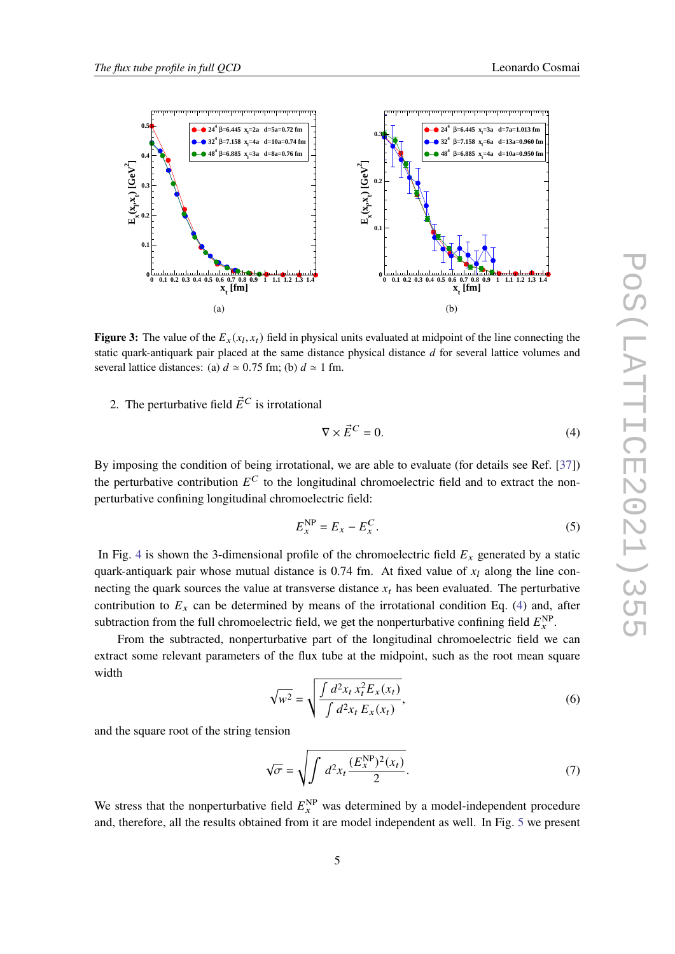<span id="page-4-0"></span>

**Figure 3:** The value of the  $E_x(x_l, x_t)$  field in physical units evaluated at midpoint of the line connecting the static quark-antiquark pair placed at the same distance physical distance  $d$  for several lattice volumes and several lattice distances: (a)  $d \approx 0.75$  fm; (b)  $d \approx 1$  fm.

2. The perturbative field  $\vec{E}^C$  is irrotational

<span id="page-4-1"></span>
$$
\nabla \times \vec{E}^C = 0. \tag{4}
$$

By imposing the condition of being irrotational, we are able to evaluate (for details see Ref. [\[37\]](#page-8-2)) the perturbative contribution  $E^C$  to the longitudinal chromoelectric field and to extract the nonperturbative confining longitudinal chromoelectric field:

$$
E_x^{\rm NP} = E_x - E_x^C. \tag{5}
$$

In Fig. [4](#page-5-0) is shown the 3-dimensional profile of the chromoelectric field  $E_x$  generated by a static quark-antiquark pair whose mutual distance is 0.74 fm. At fixed value of  $x_l$  along the line connecting the quark sources the value at transverse distance  $x_t$  has been evaluated. The perturbative contribution to  $E_x$  can be determined by means of the irrotational condition Eq. [\(4\)](#page-4-1) and, after subtraction from the full chromoelectric field, we get the nonperturbative confining field  $E_x^{\text{NP}}$ .

From the subtracted, nonperturbative part of the longitudinal chromoelectric field we can extract some relevant parameters of the flux tube at the midpoint, such as the root mean square width

$$
\sqrt{w^2} = \sqrt{\frac{\int d^2 x_t x_t^2 E_x(x_t)}{\int d^2 x_t E_x(x_t)}},
$$
\n(6)

and the square root of the string tension

$$
\sqrt{\sigma} = \sqrt{\int d^2 x_t \frac{(E_x^{\rm NP})^2(x_t)}{2}}.
$$
\n(7)

We stress that the nonperturbative field  $E_x^{NP}$  was determined by a model-independent procedure and, therefore, all the results obtained from it are model independent as well. In Fig. [5](#page-5-1) we present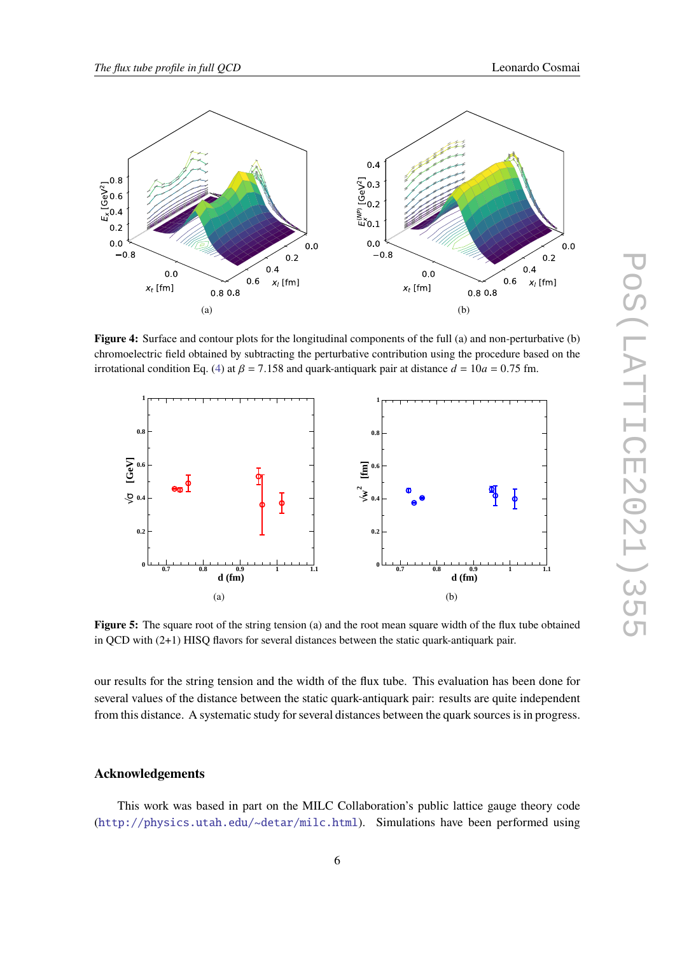<span id="page-5-0"></span>

**Figure 4:** Surface and contour plots for the longitudinal components of the full (a) and non-perturbative (b) chromoelectric field obtained by subtracting the perturbative contribution using the procedure based on the irrotational condition Eq. [\(4\)](#page-4-1) at  $\beta = 7.158$  and quark-antiquark pair at distance  $d = 10a = 0.75$  fm.

<span id="page-5-1"></span>

**Figure 5:** The square root of the string tension (a) and the root mean square width of the flux tube obtained in QCD with (2+1) HISQ flavors for several distances between the static quark-antiquark pair.

our results for the string tension and the width of the flux tube. This evaluation has been done for several values of the distance between the static quark-antiquark pair: results are quite independent from this distance. A systematic study for several distances between the quark sources is in progress.

## **Acknowledgements**

This work was based in part on the MILC Collaboration's public lattice gauge theory code (<http://physics.utah.edu/~detar/milc.html>). Simulations have been performed using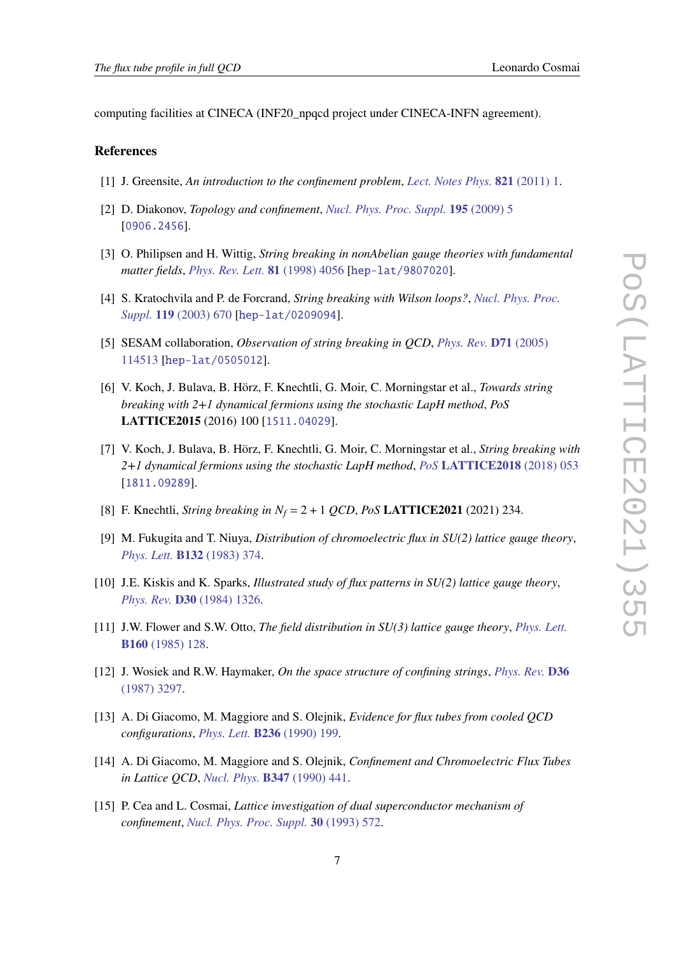computing facilities at CINECA (INF20\_npqcd project under CINECA-INFN agreement).

#### **References**

- <span id="page-6-0"></span>[1] J. Greensite, *An introduction to the confinement problem*, *[Lect. Notes Phys.](https://doi.org/10.1007/978-3-642-14382-3)* **821** (2011) 1.
- <span id="page-6-1"></span>[2] D. Diakonov, *Topology and confinement*, *[Nucl. Phys. Proc. Suppl.](https://doi.org/10.1016/j.nuclphysbps.2009.10.010)* **195** (2009) 5 [[0906.2456](https://arxiv.org/abs/0906.2456)].
- <span id="page-6-2"></span>[3] O. Philipsen and H. Wittig, *String breaking in nonAbelian gauge theories with fundamental matter fields*, *[Phys. Rev. Lett.](https://doi.org/10.1103/PhysRevLett.81.4056, 10.1103/PhysRevLett.83.2684)* **81** (1998) 4056 [[hep-lat/9807020](https://arxiv.org/abs/hep-lat/9807020)].
- [4] S. Kratochvila and P. de Forcrand, *String breaking with Wilson loops?*, *[Nucl. Phys. Proc.](https://doi.org/10.1016/S0920-5632(03)01660-8) Suppl.* **119** [\(2003\) 670](https://doi.org/10.1016/S0920-5632(03)01660-8) [[hep-lat/0209094](https://arxiv.org/abs/hep-lat/0209094)].
- [5] SESAM collaboration, *Observation of string breaking in QCD*, *[Phys. Rev.](https://doi.org/10.1103/PhysRevD.71.114513)* **D71** (2005) [114513](https://doi.org/10.1103/PhysRevD.71.114513) [[hep-lat/0505012](https://arxiv.org/abs/hep-lat/0505012)].
- [6] V. Koch, J. Bulava, B. Hörz, F. Knechtli, G. Moir, C. Morningstar et al., *Towards string breaking with 2+1 dynamical fermions using the stochastic LapH method*, *PoS* **LATTICE2015** (2016) 100 [[1511.04029](https://arxiv.org/abs/1511.04029)].
- [7] V. Koch, J. Bulava, B. Hörz, F. Knechtli, G. Moir, C. Morningstar et al., *String breaking with 2+1 dynamical fermions using the stochastic LapH method*, *PoS* **[LATTICE2018](https://doi.org/10.22323/1.334.0053)** (2018) 053 [[1811.09289](https://arxiv.org/abs/1811.09289)].
- <span id="page-6-3"></span>[8] F. Knechtli, *String breaking in*  $N_f = 2 + 1$  *QCD*, *PoS* **LATTICE2021** (2021) 234.
- <span id="page-6-4"></span>[9] M. Fukugita and T. Niuya, *Distribution of chromoelectric flux in SU(2) lattice gauge theory*, *[Phys. Lett.](https://doi.org/10.1016/0370-2693(83)90329-5)* **B132** (1983) 374.
- [10] J.E. Kiskis and K. Sparks, *Illustrated study of flux patterns in SU(2) lattice gauge theory*, *[Phys. Rev.](https://doi.org/10.1103/PhysRevD.30.1326)* **D30** (1984) 1326.
- [11] J.W. Flower and S.W. Otto, *The field distribution in SU(3) lattice gauge theory*, *[Phys. Lett.](https://doi.org/10.1016/0370-2693(85)91478-9)* **B160** [\(1985\) 128.](https://doi.org/10.1016/0370-2693(85)91478-9)
- [12] J. Wosiek and R.W. Haymaker, *On the space structure of confining strings*, *[Phys. Rev.](https://doi.org/10.1103/PhysRevD.36.3297)* **D36** [\(1987\) 3297.](https://doi.org/10.1103/PhysRevD.36.3297)
- <span id="page-6-5"></span>[13] A. Di Giacomo, M. Maggiore and S. Olejnik, *Evidence for flux tubes from cooled QCD configurations*, *[Phys. Lett.](https://doi.org/10.1016/0370-2693(90)90828-T)* **B236** (1990) 199.
- <span id="page-6-6"></span>[14] A. Di Giacomo, M. Maggiore and S. Olejnik, *Confinement and Chromoelectric Flux Tubes in Lattice QCD*, *[Nucl. Phys.](https://doi.org/10.1016/0550-3213(90)90567-W)* **B347** (1990) 441.
- [15] P. Cea and L. Cosmai, *Lattice investigation of dual superconductor mechanism of confinement*, *[Nucl. Phys. Proc. Suppl.](https://doi.org/10.1016/0920-5632(93)90276-C)* **30** (1993) 572.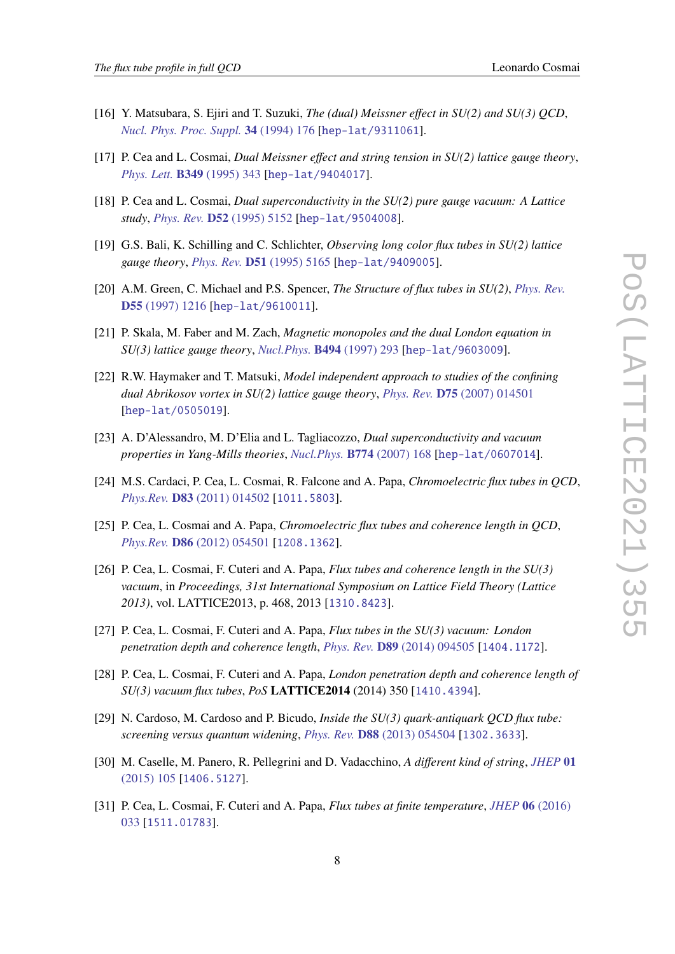- [16] Y. Matsubara, S. Ejiri and T. Suzuki, *The (dual) Meissner effect in SU(2) and SU(3) QCD*, *[Nucl. Phys. Proc. Suppl.](https://doi.org/10.1016/0920-5632(94)90337-9)* **34** (1994) 176 [[hep-lat/9311061](https://arxiv.org/abs/hep-lat/9311061)].
- [17] P. Cea and L. Cosmai, *Dual Meissner effect and string tension in SU(2) lattice gauge theory*, *[Phys. Lett.](https://doi.org/10.1016/0370-2693(95)00299-Z)* **B349** (1995) 343 [[hep-lat/9404017](https://arxiv.org/abs/hep-lat/9404017)].
- [18] P. Cea and L. Cosmai, *Dual superconductivity in the SU(2) pure gauge vacuum: A Lattice study*, *[Phys. Rev.](https://doi.org/10.1103/PhysRevD.52.5152)* **D52** (1995) 5152 [[hep-lat/9504008](https://arxiv.org/abs/hep-lat/9504008)].
- [19] G.S. Bali, K. Schilling and C. Schlichter, *Observing long color flux tubes in SU(2) lattice gauge theory*, *[Phys. Rev.](https://doi.org/10.1103/PhysRevD.51.5165)* **D51** (1995) 5165 [[hep-lat/9409005](https://arxiv.org/abs/hep-lat/9409005)].
- [20] A.M. Green, C. Michael and P.S. Spencer, *The Structure of flux tubes in SU(2)*, *[Phys. Rev.](https://doi.org/10.1103/PhysRevD.55.1216)* **D55** [\(1997\) 1216](https://doi.org/10.1103/PhysRevD.55.1216) [[hep-lat/9610011](https://arxiv.org/abs/hep-lat/9610011)].
- [21] P. Skala, M. Faber and M. Zach, *Magnetic monopoles and the dual London equation in SU(3) lattice gauge theory*, *[Nucl.Phys.](https://doi.org/10.1016/S0550-3213(97)00127-2)* **B494** (1997) 293 [[hep-lat/9603009](https://arxiv.org/abs/hep-lat/9603009)].
- [22] R.W. Haymaker and T. Matsuki, *Model independent approach to studies of the confining dual Abrikosov vortex in SU(2) lattice gauge theory*, *Phys. Rev.* **D75** [\(2007\) 014501](https://doi.org/10.1103/PhysRevD.75.014501) [[hep-lat/0505019](https://arxiv.org/abs/hep-lat/0505019)].
- [23] A. D'Alessandro, M. D'Elia and L. Tagliacozzo, *Dual superconductivity and vacuum properties in Yang-Mills theories*, *[Nucl.Phys.](https://doi.org/10.1016/j.nuclphysb.2007.03.037)* **B774** (2007) 168 [[hep-lat/0607014](https://arxiv.org/abs/hep-lat/0607014)].
- [24] M.S. Cardaci, P. Cea, L. Cosmai, R. Falcone and A. Papa, *Chromoelectric flux tubes in QCD*, *Phys.Rev.* **D83** [\(2011\) 014502](https://doi.org/10.1103/PhysRevD.83.014502) [[1011.5803](https://arxiv.org/abs/1011.5803)].
- [25] P. Cea, L. Cosmai and A. Papa, *Chromoelectric flux tubes and coherence length in QCD*, *Phys.Rev.* **D86** [\(2012\) 054501](https://doi.org/10.1103/PhysRevD.86.054501) [[1208.1362](https://arxiv.org/abs/1208.1362)].
- [26] P. Cea, L. Cosmai, F. Cuteri and A. Papa, *Flux tubes and coherence length in the SU(3) vacuum*, in *Proceedings, 31st International Symposium on Lattice Field Theory (Lattice 2013)*, vol. LATTICE2013, p. 468, 2013 [[1310.8423](https://arxiv.org/abs/1310.8423)].
- [27] P. Cea, L. Cosmai, F. Cuteri and A. Papa, *Flux tubes in the SU(3) vacuum: London penetration depth and coherence length*, *Phys. Rev.* **D89** [\(2014\) 094505](https://doi.org/10.1103/PhysRevD.89.094505) [[1404.1172](https://arxiv.org/abs/1404.1172)].
- [28] P. Cea, L. Cosmai, F. Cuteri and A. Papa, *London penetration depth and coherence length of SU(3) vacuum flux tubes*, *PoS* **LATTICE2014** (2014) 350 [[1410.4394](https://arxiv.org/abs/1410.4394)].
- [29] N. Cardoso, M. Cardoso and P. Bicudo, *Inside the SU(3) quark-antiquark QCD flux tube: screening versus quantum widening*, *Phys. Rev.* **D88** [\(2013\) 054504](https://doi.org/10.1103/PhysRevD.88.054504) [[1302.3633](https://arxiv.org/abs/1302.3633)].
- [30] M. Caselle, M. Panero, R. Pellegrini and D. Vadacchino, *A different kind of string*, *[JHEP](https://doi.org/10.1007/JHEP01(2015)105)* **01** [\(2015\) 105](https://doi.org/10.1007/JHEP01(2015)105) [[1406.5127](https://arxiv.org/abs/1406.5127)].
- <span id="page-7-0"></span>[31] P. Cea, L. Cosmai, F. Cuteri and A. Papa, *Flux tubes at finite temperature*, *[JHEP](https://doi.org/10.1007/JHEP06(2016)033)* **06** (2016) [033](https://doi.org/10.1007/JHEP06(2016)033) [[1511.01783](https://arxiv.org/abs/1511.01783)].